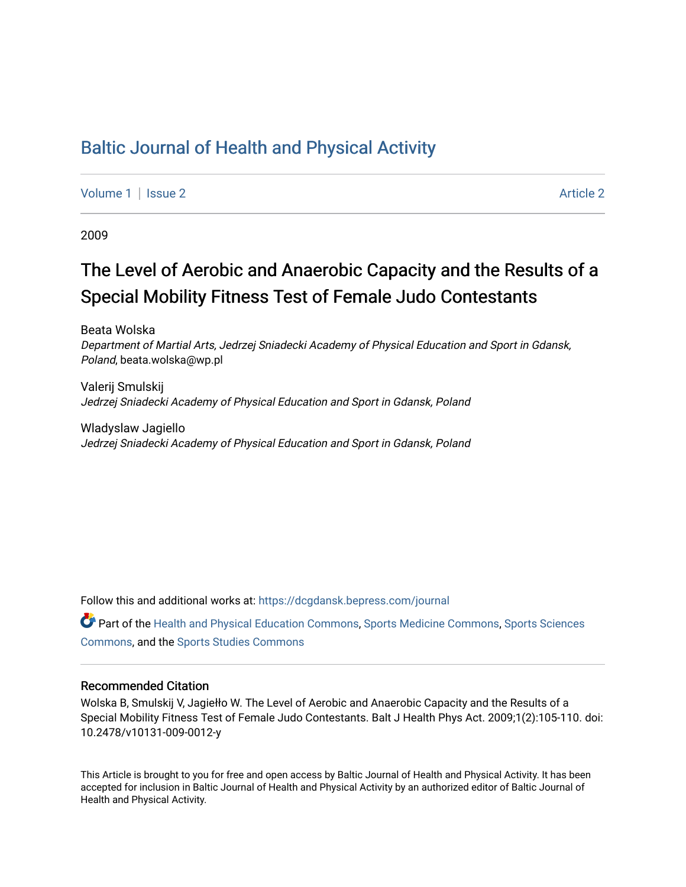# [Baltic Journal of Health and Physical Activity](https://dcgdansk.bepress.com/journal)

[Volume 1](https://dcgdansk.bepress.com/journal/vol1) | [Issue 2](https://dcgdansk.bepress.com/journal/vol1/iss2) Article 2

2009

# The Level of Aerobic and Anaerobic Capacity and the Results of a Special Mobility Fitness Test of Female Judo Contestants

Beata Wolska Department of Martial Arts, Jedrzej Sniadecki Academy of Physical Education and Sport in Gdansk, Poland, beata.wolska@wp.pl

Valerij Smulskij Jedrzej Sniadecki Academy of Physical Education and Sport in Gdansk, Poland

Wladyslaw Jagiello Jedrzej Sniadecki Academy of Physical Education and Sport in Gdansk, Poland

Follow this and additional works at: [https://dcgdansk.bepress.com/journal](https://dcgdansk.bepress.com/journal?utm_source=dcgdansk.bepress.com%2Fjournal%2Fvol1%2Fiss2%2F2&utm_medium=PDF&utm_campaign=PDFCoverPages)

Part of the [Health and Physical Education Commons](http://network.bepress.com/hgg/discipline/1327?utm_source=dcgdansk.bepress.com%2Fjournal%2Fvol1%2Fiss2%2F2&utm_medium=PDF&utm_campaign=PDFCoverPages), [Sports Medicine Commons,](http://network.bepress.com/hgg/discipline/1331?utm_source=dcgdansk.bepress.com%2Fjournal%2Fvol1%2Fiss2%2F2&utm_medium=PDF&utm_campaign=PDFCoverPages) [Sports Sciences](http://network.bepress.com/hgg/discipline/759?utm_source=dcgdansk.bepress.com%2Fjournal%2Fvol1%2Fiss2%2F2&utm_medium=PDF&utm_campaign=PDFCoverPages) [Commons](http://network.bepress.com/hgg/discipline/759?utm_source=dcgdansk.bepress.com%2Fjournal%2Fvol1%2Fiss2%2F2&utm_medium=PDF&utm_campaign=PDFCoverPages), and the [Sports Studies Commons](http://network.bepress.com/hgg/discipline/1198?utm_source=dcgdansk.bepress.com%2Fjournal%2Fvol1%2Fiss2%2F2&utm_medium=PDF&utm_campaign=PDFCoverPages) 

#### Recommended Citation

Wolska B, Smulskij V, Jagiełło W. The Level of Aerobic and Anaerobic Capacity and the Results of a Special Mobility Fitness Test of Female Judo Contestants. Balt J Health Phys Act. 2009;1(2):105-110. doi: 10.2478/v10131-009-0012-y

This Article is brought to you for free and open access by Baltic Journal of Health and Physical Activity. It has been accepted for inclusion in Baltic Journal of Health and Physical Activity by an authorized editor of Baltic Journal of Health and Physical Activity.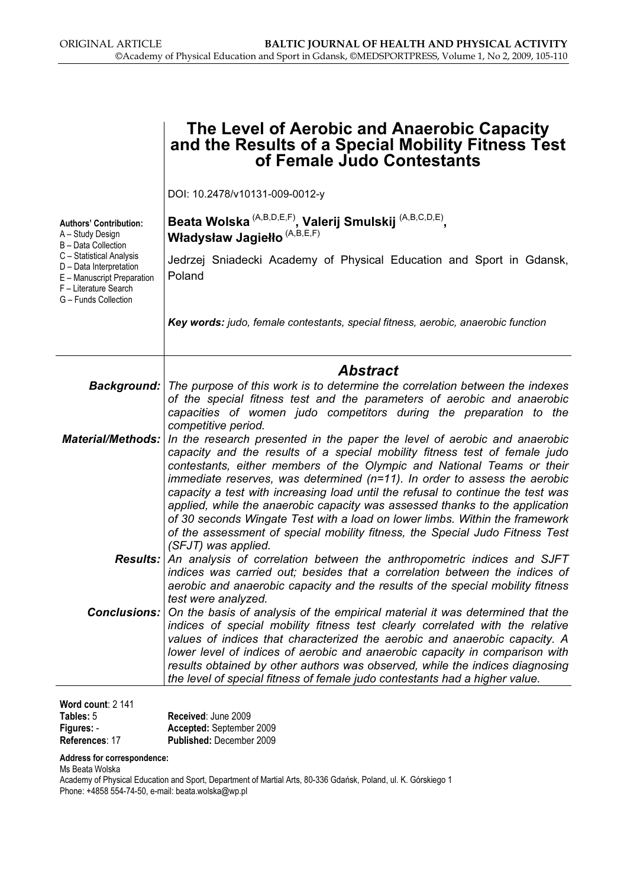|                                                                                                                                    | The Level of Aerobic and Anaerobic Capacity<br>and the Results of a Special Mobility Fitness Test<br>of Female Judo Contestants                                                                                                                                                                                                                                                                                                                                                                                                                                                                                                                                            |
|------------------------------------------------------------------------------------------------------------------------------------|----------------------------------------------------------------------------------------------------------------------------------------------------------------------------------------------------------------------------------------------------------------------------------------------------------------------------------------------------------------------------------------------------------------------------------------------------------------------------------------------------------------------------------------------------------------------------------------------------------------------------------------------------------------------------|
|                                                                                                                                    | DOI: 10.2478/v10131-009-0012-y                                                                                                                                                                                                                                                                                                                                                                                                                                                                                                                                                                                                                                             |
| <b>Authors' Contribution:</b><br>A - Study Design<br>B - Data Collection                                                           | Beata Wolska <sup>(A,B,D,E,F)</sup> , Valerij Smulskij <sup>(A,B,C,D,E)</sup> ,<br>Władysław Jagiełło <sup>(A,B,E,F)</sup>                                                                                                                                                                                                                                                                                                                                                                                                                                                                                                                                                 |
| C - Statistical Analysis<br>D - Data Interpretation<br>E - Manuscript Preparation<br>F - Literature Search<br>G - Funds Collection | Jedrzej Sniadecki Academy of Physical Education and Sport in Gdansk,<br>Poland                                                                                                                                                                                                                                                                                                                                                                                                                                                                                                                                                                                             |
|                                                                                                                                    | Key words: judo, female contestants, special fitness, aerobic, anaerobic function                                                                                                                                                                                                                                                                                                                                                                                                                                                                                                                                                                                          |
|                                                                                                                                    | <b>Abstract</b>                                                                                                                                                                                                                                                                                                                                                                                                                                                                                                                                                                                                                                                            |
|                                                                                                                                    | Background:   The purpose of this work is to determine the correlation between the indexes<br>of the special fitness test and the parameters of aerobic and anaerobic<br>capacities of women judo competitors during the preparation to the<br>competitive period.                                                                                                                                                                                                                                                                                                                                                                                                         |
| <b>Material/Methods:</b>                                                                                                           | In the research presented in the paper the level of aerobic and anaerobic<br>capacity and the results of a special mobility fitness test of female judo<br>contestants, either members of the Olympic and National Teams or their<br>immediate reserves, was determined $(n=11)$ . In order to assess the aerobic<br>capacity a test with increasing load until the refusal to continue the test was<br>applied, while the anaerobic capacity was assessed thanks to the application<br>of 30 seconds Wingate Test with a load on lower limbs. Within the framework<br>of the assessment of special mobility fitness, the Special Judo Fitness Test<br>(SFJT) was applied. |
| <b>Results:</b>                                                                                                                    | An analysis of correlation between the anthropometric indices and SJFT<br>indices was carried out: besides that a correlation between the indices of<br>aerobic and anaerobic capacity and the results of the special mobility fitness<br>test were analyzed.                                                                                                                                                                                                                                                                                                                                                                                                              |
| <b>Conclusions:</b>                                                                                                                | On the basis of analysis of the empirical material it was determined that the<br>indices of special mobility fitness test clearly correlated with the relative<br>values of indices that characterized the aerobic and anaerobic capacity. A<br>lower level of indices of aerobic and anaerobic capacity in comparison with<br>results obtained by other authors was observed, while the indices diagnosing<br>the level of special fitness of female judo contestants had a higher value.                                                                                                                                                                                 |
| $Mord$ count: $2.111$                                                                                                              |                                                                                                                                                                                                                                                                                                                                                                                                                                                                                                                                                                                                                                                                            |

| Word count: $2,141$ |                                 |
|---------------------|---------------------------------|
| Tables: 5           | Received: June 2009             |
| Figures: -          | Accepted: September 2009        |
| References: 17      | <b>Published: December 2009</b> |

#### Address for correspondence:

Ms Beata Wolska

Academy of Physical Education and Sport, Department of Martial Arts, 80-336 Gdańsk, Poland, ul. K. Górskiego 1 Phone: +4858 554-74-50, e-mail: beata.wolska@wp.pl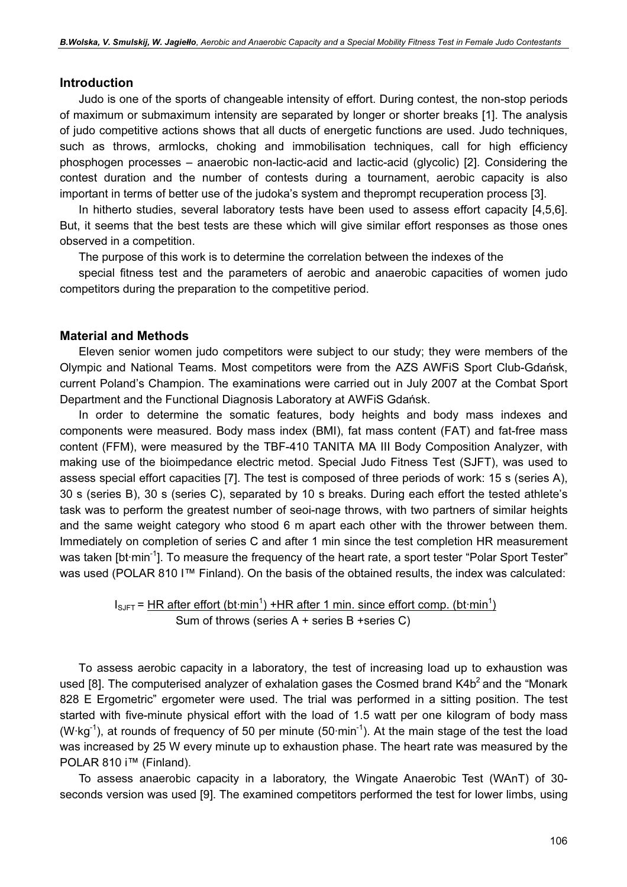#### Introduction

Judo is one of the sports of changeable intensity of effort. During contest, the non-stop periods of maximum or submaximum intensity are separated by longer or shorter breaks [1]. The analysis of judo competitive actions shows that all ducts of energetic functions are used. Judo techniques, such as throws, armlocks, choking and immobilisation techniques, call for high efficiency phosphogen processes – anaerobic non-lactic-acid and lactic-acid (glycolic) [2]. Considering the contest duration and the number of contests during a tournament, aerobic capacity is also important in terms of better use of the judoka's system and theprompt recuperation process [3].

In hitherto studies, several laboratory tests have been used to assess effort capacity [4,5,6]. But, it seems that the best tests are these which will give similar effort responses as those ones observed in a competition.

The purpose of this work is to determine the correlation between the indexes of the

special fitness test and the parameters of aerobic and anaerobic capacities of women judo competitors during the preparation to the competitive period.

#### Material and Methods

Eleven senior women judo competitors were subject to our study; they were members of the Olympic and National Teams. Most competitors were from the AZS AWFiS Sport Club-Gdańsk, current Poland's Champion. The examinations were carried out in July 2007 at the Combat Sport Department and the Functional Diagnosis Laboratory at AWFiS Gdańsk.

In order to determine the somatic features, body heights and body mass indexes and components were measured. Body mass index (BMI), fat mass content (FAT) and fat-free mass content (FFM), were measured by the TBF-410 TANITA MA III Body Composition Analyzer, with making use of the bioimpedance electric metod. Special Judo Fitness Test (SJFT), was used to assess special effort capacities [7]. The test is composed of three periods of work: 15 s (series A), 30 s (series B), 30 s (series C), separated by 10 s breaks. During each effort the tested athlete's task was to perform the greatest number of seoi-nage throws, with two partners of similar heights and the same weight category who stood 6 m apart each other with the thrower between them. Immediately on completion of series C and after 1 min since the test completion HR measurement was taken [bt·min<sup>-1</sup>]. To measure the frequency of the heart rate, a sport tester "Polar Sport Tester" was used (POLAR 810 I™ Finland). On the basis of the obtained results, the index was calculated:

 $I_{\text{SJFT}}$  = HR after effort (bt·min<sup>1</sup>) +HR after 1 min. since effort comp. (bt·min<sup>1</sup>) Sum of throws (series A + series B +series C)

To assess aerobic capacity in a laboratory, the test of increasing load up to exhaustion was used [8]. The computerised analyzer of exhalation gases the Cosmed brand  $K4b<sup>2</sup>$  and the "Monark 828 E Ergometric" ergometer were used. The trial was performed in a sitting position. The test started with five-minute physical effort with the load of 1.5 watt per one kilogram of body mass (W·kg<sup>-1</sup>), at rounds of frequency of 50 per minute (50 $\cdot$ min<sup>-1</sup>). At the main stage of the test the load was increased by 25 W every minute up to exhaustion phase. The heart rate was measured by the POLAR 810 i™ (Finland).

To assess anaerobic capacity in a laboratory, the Wingate Anaerobic Test (WAnT) of 30 seconds version was used [9]. The examined competitors performed the test for lower limbs, using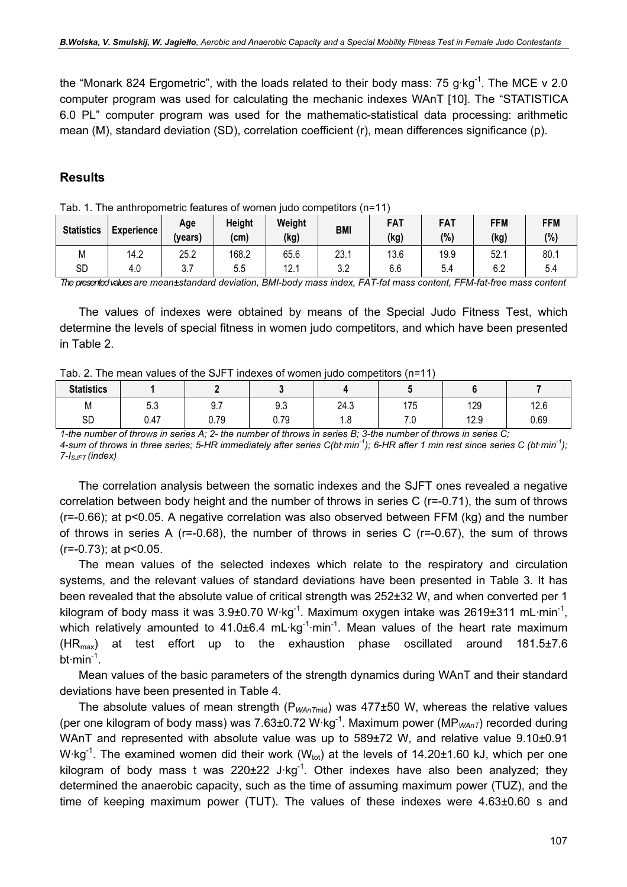the "Monark 824 Ergometric", with the loads related to their body mass: 75 g·kg<sup>-1</sup>. The MCE v 2.0 computer program was used for calculating the mechanic indexes WAnT [10]. The "STATISTICA 6.0 PL" computer program was used for the mathematic-statistical data processing: arithmetic mean (M), standard deviation (SD), correlation coefficient (r), mean differences significance (p).

### **Results**

| <b>Statistics</b> | <b>Experience</b> | Age<br>(years) | <b>Height</b><br>(cm) | Weight<br>(kg) | <b>BMI</b> | FAT<br>(kg) | FAT<br>(% | <b>FFM</b><br>(kg) | FFM<br>(%) |
|-------------------|-------------------|----------------|-----------------------|----------------|------------|-------------|-----------|--------------------|------------|
| Μ                 | 14.2              | 25.2           | 168.2                 | 65.6           | 23.1       | 13.6        | 19.9      | 52.1               | 80.1       |
| <b>SD</b>         | 4.0               | ບ.ເ            | 5.5                   | 12.1           | っっ<br>J.Z  | 6.6         | 5.4       | 6.2                | 5.4        |

Tab. 1. The anthropometric features of women judo competitors (n=11)

The presented values are mean±standard deviation, BMI-body mass index, FAT-fat mass content, FFM-fat-free mass content

The values of indexes were obtained by means of the Special Judo Fitness Test, which determine the levels of special fitness in women judo competitors, and which have been presented in Table 2.

| Tab. 2. The mean values of the SJFT indexes of women judo competitors (n=11) |  |
|------------------------------------------------------------------------------|--|
|------------------------------------------------------------------------------|--|

| <b>Statistics</b> |                        |                   |      |                       |                                  |             |      |
|-------------------|------------------------|-------------------|------|-----------------------|----------------------------------|-------------|------|
| M                 | r 0<br><u>_</u><br>უ.ა | Q7<br>J.I         | 9.3  | 24.3                  | 175<br>. ا ب                     | 129         | 12.6 |
| SD                | 0.47                   | 70<br><b>v.iv</b> | 0.79 | $\sim$<br>$\cdot$ . O | -<br>$\cdot\cdot$ . $\cdot\cdot$ | 120<br>ن ۱۷ | 0.69 |

1-the number of throws in series A; 2- the number of throws in series B; 3-the number of throws in series C; 4-sum of throws in three series; 5-HR immediately after series  $C(bt\,min^{-1})$ ; 6-HR after 1 min rest since series C (bt·min<sup>-1</sup>);  $7-I<sub>SJFT</sub> (index)$ 

The correlation analysis between the somatic indexes and the SJFT ones revealed a negative correlation between body height and the number of throws in series C (r=-0.71), the sum of throws (r=-0.66); at p<0.05. A negative correlation was also observed between FFM (kg) and the number of throws in series A ( $r=-0.68$ ), the number of throws in series C ( $r=-0.67$ ), the sum of throws (r=-0.73); at p<0.05.

The mean values of the selected indexes which relate to the respiratory and circulation systems, and the relevant values of standard deviations have been presented in Table 3. It has been revealed that the absolute value of critical strength was 252±32 W, and when converted per 1 kilogram of body mass it was  $3.9\pm0.70$  W·kg<sup>-1</sup>. Maximum oxygen intake was 2619 $\pm$ 311 mL·min<sup>-1</sup>, which relatively amounted to  $41.0\pm6.4$  mL·kg<sup>-1</sup>·min<sup>-1</sup>. Mean values of the heart rate maximum  $(HR<sub>max</sub>)$  at test effort up to the exhaustion phase oscillated around 181.5 $\pm$ 7.6  $bt·min^{-1}$ .

Mean values of the basic parameters of the strength dynamics during WAnT and their standard deviations have been presented in Table 4.

The absolute values of mean strength ( $P_{WAnTmid}$ ) was 477 $\pm$ 50 W, whereas the relative values (per one kilogram of body mass) was 7.63±0.72 W·kg<sup>-1</sup>. Maximum power (MP<sub>WAnT</sub>) recorded during WAnT and represented with absolute value was up to 589±72 W, and relative value 9.10±0.91 W·kg<sup>-1</sup>. The examined women did their work (W<sub>tot</sub>) at the levels of 14.20±1.60 kJ, which per one kilogram of body mass t was  $220\pm 22$  J·kg<sup>-1</sup>. Other indexes have also been analyzed; they determined the anaerobic capacity, such as the time of assuming maximum power (TUZ), and the time of keeping maximum power (TUT). The values of these indexes were 4.63±0.60 s and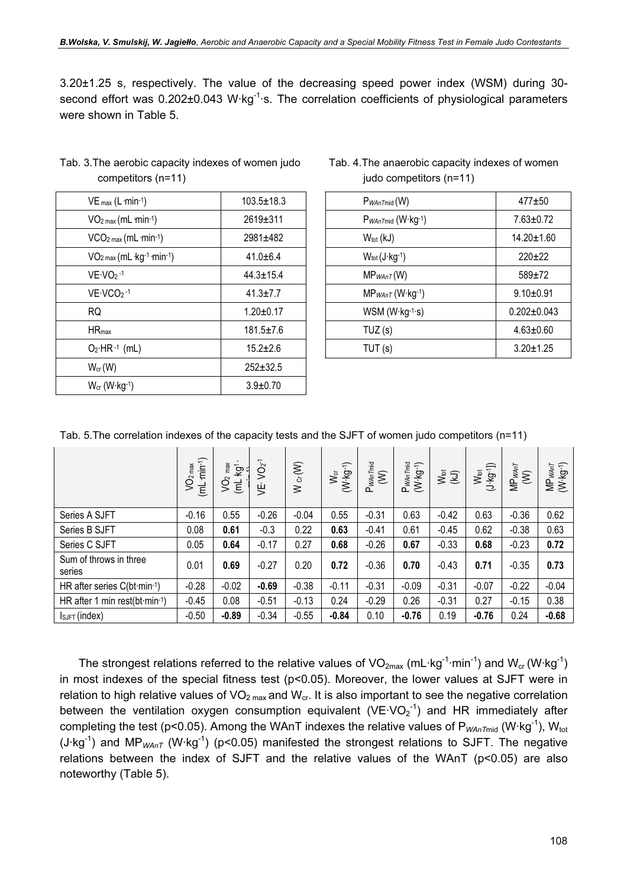3.20±1.25 s, respectively. The value of the decreasing speed power index (WSM) during 30 second effort was 0.202±0.043 W·kg<sup>-1</sup>·s. The correlation coefficients of physiological parameters were shown in Table 5.

| $VE$ <sub>max</sub> (L $min-1$ ) | $103.5 \pm 18.3$ |
|----------------------------------|------------------|
| $VO2 max (mL·min-1)$             | 2619±311         |
| $VCO2 max (mL·min-1)$            | 2981±482         |
| $VO2 max (mL kg-1 min-1)$        | $41.0 + 6.4$     |
| $VE\cdot VO_2 - 1$               | $44.3 \pm 15.4$  |
| $VE\cdot VCO2$ -1                | $41.3 \pm 7.7$   |
| RQ                               | $1.20 \pm 0.17$  |
| $HR_{max}$                       | 181.5±7.6        |
| $O_2$ HR $-1$ (mL)               | $15.2 \pm 2.6$   |
| $W_{cr}(W)$                      | $252 + 32.5$     |
| $W_{cr}$ (W $\cdot$ kg $-1$ )    | $3.9 \pm 0.70$   |

Tab. 3.The aerobic capacity indexes of women judo competitors (n=11)

| Tab. 4. The anaerobic capacity indexes of women |  |
|-------------------------------------------------|--|
| judo competitors (n=11)                         |  |

| $VE$ <sub>max</sub> $(L \cdot min^{-1})$ | 103.5±18.3      | P <sub>WAnTmid</sub> (W)   | $477 + 50$        |
|------------------------------------------|-----------------|----------------------------|-------------------|
| $VO2 max (mL·min-1)$                     | 2619±311        | PwAnTmid (W·kg-1)          | $7.63 \pm 0.72$   |
| $VCO2 max (mL·min-1)$                    | 2981±482        | $W_{\text{tot}}$ (kJ)      | 14.20±1.60        |
| $VO2 max (mL kg-1·min-1)$                | $41.0 + 6.4$    | $W_{tot}(J \cdot kg^{-1})$ | $220+22$          |
| $VE\cdot VO2 - 1$                        | $44.3 \pm 15.4$ | $MP_{WAnT}(W)$             | $589 + 72$        |
| $VE\cdot VCO2 -1$                        | $41.3 \pm 7.7$  | $MP_{W AnT}$ (W·kg-1)      | $9.10 + 0.91$     |
| <b>RQ</b>                                | $1.20 \pm 0.17$ | $WSM (W kg^{-1}·s)$        | $0.202 \pm 0.043$ |
| $HR_{max}$                               | $181.5 \pm 7.6$ | TUZ(s)                     | $4.63 \pm 0.60$   |
| $O_2$ ·HR· <sup>1</sup> (mL)             | $15.2 \pm 2.6$  | TUT(s)                     | $3.20 \pm 1.25$   |
|                                          |                 |                            |                   |

Tab. 5.The correlation indexes of the capacity tests and the SJFT of women judo competitors (n=11)

|                                               | $min^{-1}$<br>$\sqrt{O_{2 \text{ max}}}$<br>$\overline{E}$ | max<br>$k$ g<br>ğ<br>$\overline{E}$ | $VO2$ <sup>-1</sup><br>ஜ் | $W$ or $(W)$ | $W_{\rm cr}$<br>( $W$ $kg$ -1) | $P_{W\!A\eta\,Tmid}$ | PwAnTmid<br>$(W \cdot kg^{-1})$ | $\sum_{k=1}^{N_{\rm tot}}$ | $W_{tot}$<br>(J·kg·1) | $MP_{WAT}$<br>(W) | $MP_{WA\tau T}$<br>$(W \cdot \text{kg-1})$ |
|-----------------------------------------------|------------------------------------------------------------|-------------------------------------|---------------------------|--------------|--------------------------------|----------------------|---------------------------------|----------------------------|-----------------------|-------------------|--------------------------------------------|
| Series A SJFT                                 | $-0.16$                                                    | 0.55                                | $-0.26$                   | $-0.04$      | 0.55                           | $-0.31$              | 0.63                            | $-0.42$                    | 0.63                  | $-0.36$           | 0.62                                       |
| Series B SJFT                                 | 0.08                                                       | 0.61                                | $-0.3$                    | 0.22         | 0.63                           | $-0.41$              | 0.61                            | $-0.45$                    | 0.62                  | $-0.38$           | 0.63                                       |
| Series C SJFT                                 | 0.05                                                       | 0.64                                | $-0.17$                   | 0.27         | 0.68                           | $-0.26$              | 0.67                            | $-0.33$                    | 0.68                  | $-0.23$           | 0.72                                       |
| Sum of throws in three<br>series              | 0.01                                                       | 0.69                                | $-0.27$                   | 0.20         | 0.72                           | $-0.36$              | 0.70                            | $-0.43$                    | 0.71                  | $-0.35$           | 0.73                                       |
| HR after series $C(bt·min-1)$                 | $-0.28$                                                    | $-0.02$                             | $-0.69$                   | $-0.38$      | $-0.11$                        | $-0.31$              | $-0.09$                         | $-0.31$                    | $-0.07$               | $-0.22$           | $-0.04$                                    |
| HR after 1 min rest(bt $\cdot$ min $\cdot$ 1) | $-0.45$                                                    | 0.08                                | $-0.51$                   | $-0.13$      | 0.24                           | $-0.29$              | 0.26                            | $-0.31$                    | 0.27                  | $-0.15$           | 0.38                                       |
| $I_{SJFT}$ (index)                            | $-0.50$                                                    | $-0.89$                             | $-0.34$                   | $-0.55$      | $-0.84$                        | 0.10                 | $-0.76$                         | 0.19                       | $-0.76$               | 0.24              | $-0.68$                                    |

The strongest relations referred to the relative values of  $VO_{2max}$  (mL·kg<sup>-1</sup>·min<sup>-1</sup>) and  $W_{cr}$  (W·kg<sup>-1</sup>) in most indexes of the special fitness test (p<0.05). Moreover, the lower values at SJFT were in relation to high relative values of  $VO<sub>2 max</sub>$  and  $W<sub>cr</sub>$ . It is also important to see the negative correlation between the ventilation oxygen consumption equivalent (VE·VO<sub>2</sub><sup>-1</sup>) and HR immediately after completing the test (p<0.05). Among the WAnT indexes the relative values of  $P_{WAnTmi}$  (W·kg<sup>-1</sup>), W<sub>tot</sub> (J·kg<sup>-1</sup>) and MP<sub>WAnT</sub> (W·kg<sup>-1</sup>) (p<0.05) manifested the strongest relations to SJFT. The negative relations between the index of SJFT and the relative values of the WAnT (p<0.05) are also noteworthy (Table 5).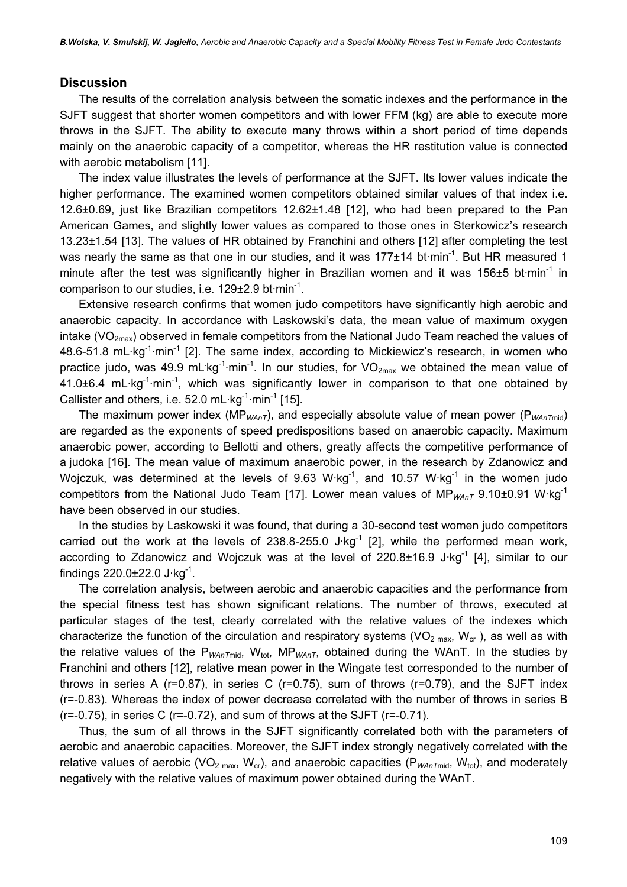#### **Discussion**

The results of the correlation analysis between the somatic indexes and the performance in the SJFT suggest that shorter women competitors and with lower FFM (kg) are able to execute more throws in the SJFT. The ability to execute many throws within a short period of time depends mainly on the anaerobic capacity of a competitor, whereas the HR restitution value is connected with aerobic metabolism [11].

The index value illustrates the levels of performance at the SJFT. Its lower values indicate the higher performance. The examined women competitors obtained similar values of that index i.e. 12.6±0.69, just like Brazilian competitors 12.62±1.48 [12], who had been prepared to the Pan American Games, and slightly lower values as compared to those ones in Sterkowicz's research 13.23±1.54 [13]. The values of HR obtained by Franchini and others [12] after completing the test was nearly the same as that one in our studies, and it was  $177\pm14$  bt $\cdot$ min<sup>-1</sup>. But HR measured 1 minute after the test was significantly higher in Brazilian women and it was 156 $\pm$ 5 bt·min<sup>-1</sup> in comparison to our studies, i.e.  $129\pm2.9$  bt $\cdot$ min<sup>-1</sup>.

Extensive research confirms that women judo competitors have significantly high aerobic and anaerobic capacity. In accordance with Laskowski's data, the mean value of maximum oxygen intake (VO<sub>2max</sub>) observed in female competitors from the National Judo Team reached the values of 48.6-51.8 mL·kg<sup>-1</sup>·min<sup>-1</sup> [2]. The same index, according to Mickiewicz's research, in women who practice judo, was 49.9 mL kg<sup>-1</sup>·min<sup>-1</sup>. In our studies, for VO<sub>2max</sub> we obtained the mean value of 41.0 $\pm$ 6.4 mL·kg<sup>-1</sup>·min<sup>-1</sup>, which was significantly lower in comparison to that one obtained by Callister and others, i.e. 52.0 mL $\cdot$ kg<sup>-1</sup> $\cdot$ min<sup>-1</sup> [15].

The maximum power index (MP<sub>WAnT</sub>), and especially absolute value of mean power (P<sub>WAnTmid</sub>) are regarded as the exponents of speed predispositions based on anaerobic capacity. Maximum anaerobic power, according to Bellotti and others, greatly affects the competitive performance of a judoka [16]. The mean value of maximum anaerobic power, in the research by Zdanowicz and Wojczuk, was determined at the levels of 9.63 W·kg<sup>-1</sup>, and 10.57 W·kg<sup>-1</sup> in the women judo competitors from the National Judo Team [17]. Lower mean values of MP<sub>WAnT</sub> 9.10±0.91 W·kg<sup>-1</sup> have been observed in our studies.

In the studies by Laskowski it was found, that during a 30-second test women judo competitors carried out the work at the levels of 238.8-255.0 J $kg<sup>-1</sup>$  [2], while the performed mean work, according to Zdanowicz and Wojczuk was at the level of  $220.8\pm16.9$  J·kg<sup>-1</sup> [4], similar to our findings  $220.0 \pm 22.0 \text{ J} \cdot \text{kg}^{-1}$ .

The correlation analysis, between aerobic and anaerobic capacities and the performance from the special fitness test has shown significant relations. The number of throws, executed at particular stages of the test, clearly correlated with the relative values of the indexes which characterize the function of the circulation and respiratory systems (VO<sub>2 max</sub>, W<sub>cr</sub>), as well as with the relative values of the P<sub>WAnTmid</sub>, W<sub>tot</sub>, MP<sub>WAnT</sub>, obtained during the WAnT. In the studies by Franchini and others [12], relative mean power in the Wingate test corresponded to the number of throws in series A ( $r=0.87$ ), in series C ( $r=0.75$ ), sum of throws ( $r=0.79$ ), and the SJFT index (r=-0.83). Whereas the index of power decrease correlated with the number of throws in series B  $(r=-0.75)$ , in series C  $(r=-0.72)$ , and sum of throws at the SJFT  $(r=-0.71)$ .

Thus, the sum of all throws in the SJFT significantly correlated both with the parameters of aerobic and anaerobic capacities. Moreover, the SJFT index strongly negatively correlated with the relative values of aerobic (VO<sub>2 max</sub>, W<sub>cr</sub>), and anaerobic capacities (P<sub>WAnTmid</sub>, W<sub>tot</sub>), and moderately negatively with the relative values of maximum power obtained during the WAnT.